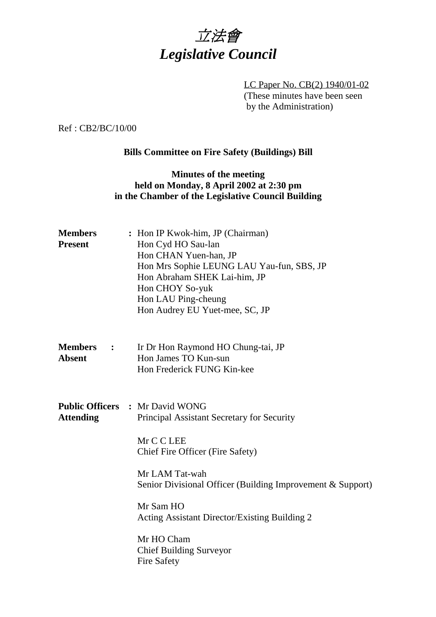

LC Paper No. CB(2) 1940/01-02 (These minutes have been seen by the Administration)

Ref : CB2/BC/10/00

## **Bills Committee on Fire Safety (Buildings) Bill**

## **Minutes of the meeting held on Monday, 8 April 2002 at 2:30 pm in the Chamber of the Legislative Council Building**

| <b>Members</b><br><b>Present</b>  | : Hon IP Kwok-him, JP (Chairman)<br>Hon Cyd HO Sau-lan<br>Hon CHAN Yuen-han, JP<br>Hon Mrs Sophie LEUNG LAU Yau-fun, SBS, JP<br>Hon Abraham SHEK Lai-him, JP<br>Hon CHOY So-yuk<br>Hon LAU Ping-cheung<br>Hon Audrey EU Yuet-mee, SC, JP |  |  |  |  |
|-----------------------------------|------------------------------------------------------------------------------------------------------------------------------------------------------------------------------------------------------------------------------------------|--|--|--|--|
| <b>Members</b> :<br><b>Absent</b> | Ir Dr Hon Raymond HO Chung-tai, JP<br>Hon James TO Kun-sun<br>Hon Frederick FUNG Kin-kee                                                                                                                                                 |  |  |  |  |
| <b>Attending</b>                  | <b>Public Officers : Mr David WONG</b><br>Principal Assistant Secretary for Security<br>Mr C C LEE<br>Chief Fire Officer (Fire Safety)                                                                                                   |  |  |  |  |
|                                   | Mr LAM Tat-wah<br>Senior Divisional Officer (Building Improvement & Support)                                                                                                                                                             |  |  |  |  |
|                                   | Mr Sam HO<br>Acting Assistant Director/Existing Building 2                                                                                                                                                                               |  |  |  |  |
|                                   | Mr HO Cham<br><b>Chief Building Surveyor</b><br>Fire Safety                                                                                                                                                                              |  |  |  |  |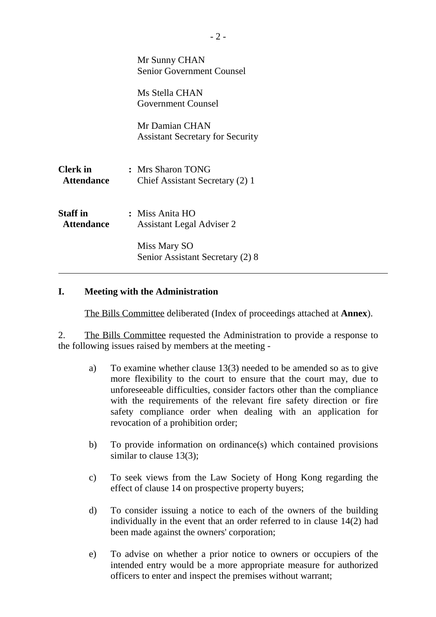|                                      | Mr Sunny CHAN<br><b>Senior Government Counsel</b>         |
|--------------------------------------|-----------------------------------------------------------|
|                                      | Ms Stella CHAN<br><b>Government Counsel</b>               |
|                                      | Mr Damian CHAN<br><b>Assistant Secretary for Security</b> |
| <b>Clerk</b> in<br><b>Attendance</b> | : Mrs Sharon TONG<br>Chief Assistant Secretary (2) 1      |
| <b>Staff</b> in<br><b>Attendance</b> | : Miss Anita HO<br><b>Assistant Legal Adviser 2</b>       |
|                                      | Miss Mary SO<br>Senior Assistant Secretary (2) 8          |

#### **I. Meeting with the Administration**

The Bills Committee deliberated (Index of proceedings attached at **Annex**).

2. The Bills Committee requested the Administration to provide a response to the following issues raised by members at the meeting -

- a) To examine whether clause 13(3) needed to be amended so as to give more flexibility to the court to ensure that the court may, due to unforeseeable difficulties, consider factors other than the compliance with the requirements of the relevant fire safety direction or fire safety compliance order when dealing with an application for revocation of a prohibition order;
- b) To provide information on ordinance(s) which contained provisions similar to clause 13(3);
- c) To seek views from the Law Society of Hong Kong regarding the effect of clause 14 on prospective property buyers;
- d) To consider issuing a notice to each of the owners of the building individually in the event that an order referred to in clause 14(2) had been made against the owners' corporation;
- e) To advise on whether a prior notice to owners or occupiers of the intended entry would be a more appropriate measure for authorized officers to enter and inspect the premises without warrant;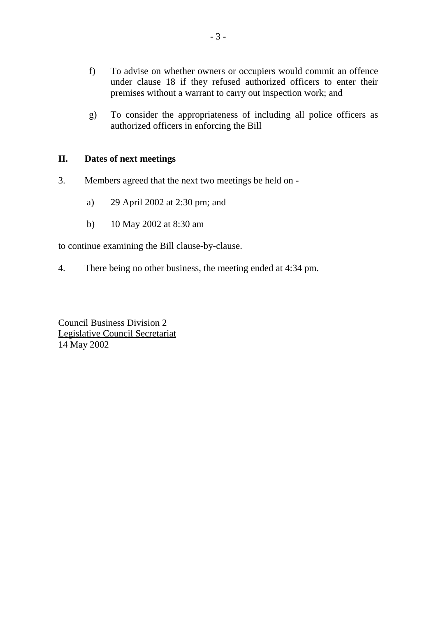- f) To advise on whether owners or occupiers would commit an offence under clause 18 if they refused authorized officers to enter their premises without a warrant to carry out inspection work; and
- g) To consider the appropriateness of including all police officers as authorized officers in enforcing the Bill

### **II. Dates of next meetings**

- 3. Members agreed that the next two meetings be held on
	- a) 29 April 2002 at 2:30 pm; and
	- b) 10 May 2002 at 8:30 am

to continue examining the Bill clause-by-clause.

4. There being no other business, the meeting ended at 4:34 pm.

Council Business Division 2 Legislative Council Secretariat 14 May 2002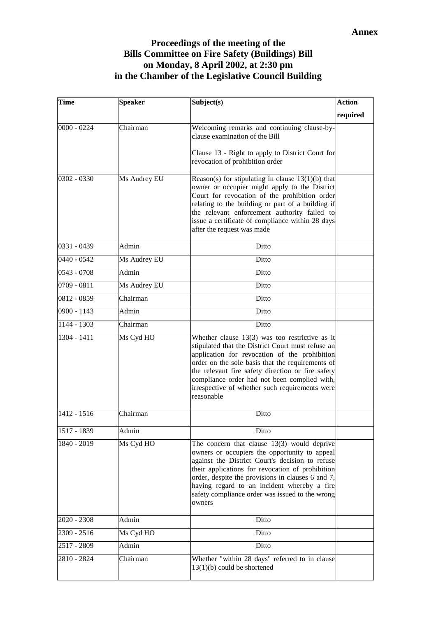## **Proceedings of the meeting of the Bills Committee on Fire Safety (Buildings) Bill on Monday, 8 April 2002, at 2:30 pm in the Chamber of the Legislative Council Building**

| <b>Time</b>   | <b>Speaker</b> | Subject(s)                                                                                                                                                                                                                                                                                                                                                                      | <b>Action</b> |
|---------------|----------------|---------------------------------------------------------------------------------------------------------------------------------------------------------------------------------------------------------------------------------------------------------------------------------------------------------------------------------------------------------------------------------|---------------|
|               |                |                                                                                                                                                                                                                                                                                                                                                                                 | required      |
| $0000 - 0224$ | Chairman       | Welcoming remarks and continuing clause-by-<br>clause examination of the Bill                                                                                                                                                                                                                                                                                                   |               |
|               |                | Clause 13 - Right to apply to District Court for<br>revocation of prohibition order                                                                                                                                                                                                                                                                                             |               |
| 0302 - 0330   | Ms Audrey EU   | Reason(s) for stipulating in clause $13(1)(b)$ that<br>owner or occupier might apply to the District<br>Court for revocation of the prohibition order<br>relating to the building or part of a building if<br>the relevant enforcement authority failed to<br>issue a certificate of compliance within 28 days<br>after the request was made                                    |               |
| 0331 - 0439   | Admin          | Ditto                                                                                                                                                                                                                                                                                                                                                                           |               |
| $0440 - 0542$ | Ms Audrey EU   | Ditto                                                                                                                                                                                                                                                                                                                                                                           |               |
| $0543 - 0708$ | Admin          | Ditto                                                                                                                                                                                                                                                                                                                                                                           |               |
| $0709 - 0811$ | Ms Audrey EU   | Ditto                                                                                                                                                                                                                                                                                                                                                                           |               |
| 0812 - 0859   | Chairman       | Ditto                                                                                                                                                                                                                                                                                                                                                                           |               |
| 0900 - 1143   | Admin          | Ditto                                                                                                                                                                                                                                                                                                                                                                           |               |
| $1144 - 1303$ | Chairman       | Ditto                                                                                                                                                                                                                                                                                                                                                                           |               |
| 1304 - 1411   | Ms Cyd HO      | Whether clause $13(3)$ was too restrictive as it<br>stipulated that the District Court must refuse an<br>application for revocation of the prohibition<br>order on the sole basis that the requirements of<br>the relevant fire safety direction or fire safety<br>compliance order had not been complied with,<br>irrespective of whether such requirements were<br>reasonable |               |
| 1412 - 1516   | Chairman       | Ditto                                                                                                                                                                                                                                                                                                                                                                           |               |
| 1517 - 1839   | Admin          | Ditto                                                                                                                                                                                                                                                                                                                                                                           |               |
| 1840 - 2019   | Ms Cyd HO      | The concern that clause $13(3)$ would deprive<br>owners or occupiers the opportunity to appeal<br>against the District Court's decision to refuse<br>their applications for revocation of prohibition<br>order, despite the provisions in clauses 6 and 7,<br>having regard to an incident whereby a fire<br>safety compliance order was issued to the wrong<br>owners          |               |
| 2020 - 2308   | Admin          | Ditto                                                                                                                                                                                                                                                                                                                                                                           |               |
| 2309 - 2516   | Ms Cyd HO      | Ditto                                                                                                                                                                                                                                                                                                                                                                           |               |
| 2517 - 2809   | Admin          | Ditto                                                                                                                                                                                                                                                                                                                                                                           |               |
| 2810 - 2824   | Chairman       | Whether "within 28 days" referred to in clause<br>$13(1)(b)$ could be shortened                                                                                                                                                                                                                                                                                                 |               |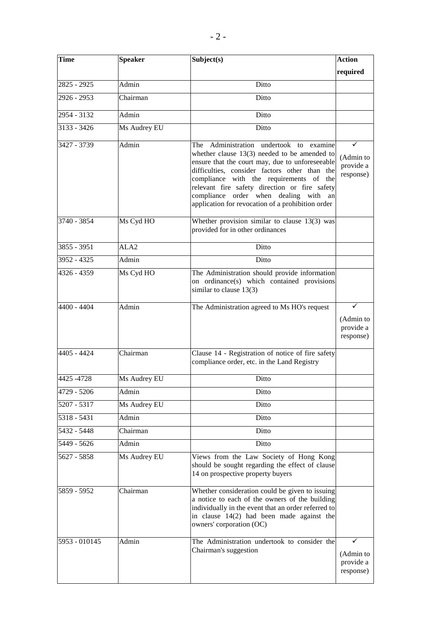| <b>Time</b>   | <b>Speaker</b>   | Subject(s)                                                                                                                                                                                                                                                                                                                                                                                 | Action                                   |
|---------------|------------------|--------------------------------------------------------------------------------------------------------------------------------------------------------------------------------------------------------------------------------------------------------------------------------------------------------------------------------------------------------------------------------------------|------------------------------------------|
|               |                  |                                                                                                                                                                                                                                                                                                                                                                                            | required                                 |
| 2825 - 2925   | Admin            | Ditto                                                                                                                                                                                                                                                                                                                                                                                      |                                          |
| 2926 - 2953   | Chairman         | Ditto                                                                                                                                                                                                                                                                                                                                                                                      |                                          |
| 2954 - 3132   | Admin            | Ditto                                                                                                                                                                                                                                                                                                                                                                                      |                                          |
| $3133 - 3426$ | Ms Audrey EU     | Ditto                                                                                                                                                                                                                                                                                                                                                                                      |                                          |
| 3427 - 3739   | Admin            | Administration undertook to examine<br>The<br>whether clause $13(3)$ needed to be amended to<br>ensure that the court may, due to unforeseeable<br>difficulties, consider factors other than the<br>compliance with the requirements of the<br>relevant fire safety direction or fire safety<br>compliance order when dealing with an<br>application for revocation of a prohibition order | ✓<br>(Admin to<br>provide a<br>response) |
| 3740 - 3854   | Ms Cyd HO        | Whether provision similar to clause $13(3)$ was<br>provided for in other ordinances                                                                                                                                                                                                                                                                                                        |                                          |
| 3855 - 3951   | ALA <sub>2</sub> | Ditto                                                                                                                                                                                                                                                                                                                                                                                      |                                          |
| 3952 - 4325   | Admin            | Ditto                                                                                                                                                                                                                                                                                                                                                                                      |                                          |
| 4326 - 4359   | Ms Cyd HO        | The Administration should provide information<br>on ordinance(s) which contained provisions<br>similar to clause $13(3)$                                                                                                                                                                                                                                                                   |                                          |
| 4400 - 4404   | Admin            | The Administration agreed to Ms HO's request                                                                                                                                                                                                                                                                                                                                               | ✓<br>(Admin to<br>provide a<br>response) |
| 4405 - 4424   | Chairman         | Clause 14 - Registration of notice of fire safety<br>compliance order, etc. in the Land Registry                                                                                                                                                                                                                                                                                           |                                          |
| 4425 - 4728   | Ms Audrey EU     | Ditto                                                                                                                                                                                                                                                                                                                                                                                      |                                          |
| 4729 - 5206   | Admin            | Ditto                                                                                                                                                                                                                                                                                                                                                                                      |                                          |
| 5207 - 5317   | Ms Audrey EU     | Ditto                                                                                                                                                                                                                                                                                                                                                                                      |                                          |
| 5318 - 5431   | Admin            | Ditto                                                                                                                                                                                                                                                                                                                                                                                      |                                          |
| 5432 - 5448   | Chairman         | Ditto                                                                                                                                                                                                                                                                                                                                                                                      |                                          |
| 5449 - 5626   | Admin            | Ditto                                                                                                                                                                                                                                                                                                                                                                                      |                                          |
| 5627 - 5858   | Ms Audrey EU     | Views from the Law Society of Hong Kong<br>should be sought regarding the effect of clause<br>14 on prospective property buyers                                                                                                                                                                                                                                                            |                                          |
| 5859 - 5952   | Chairman         | Whether consideration could be given to issuing<br>a notice to each of the owners of the building<br>individually in the event that an order referred to<br>in clause $14(2)$ had been made against the<br>owners' corporation (OC)                                                                                                                                                        |                                          |
| 5953 - 010145 | Admin            | The Administration undertook to consider the<br>Chairman's suggestion                                                                                                                                                                                                                                                                                                                      | (Admin to<br>provide a<br>response)      |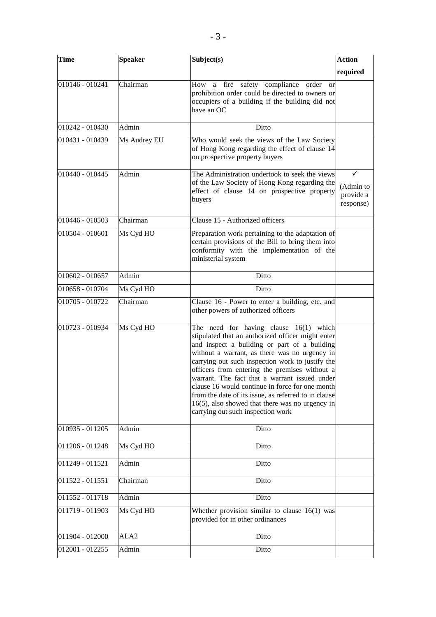| <b>Time</b>       | <b>Speaker</b>   | Subject(s)                                                                                                                                                                                                                                                                                                                                                                                                                                                                                                                                                 | <b>Action</b>                       |
|-------------------|------------------|------------------------------------------------------------------------------------------------------------------------------------------------------------------------------------------------------------------------------------------------------------------------------------------------------------------------------------------------------------------------------------------------------------------------------------------------------------------------------------------------------------------------------------------------------------|-------------------------------------|
|                   |                  |                                                                                                                                                                                                                                                                                                                                                                                                                                                                                                                                                            | required                            |
| 010146 - 010241   | Chairman         | How a fire safety compliance order<br><b>or</b><br>prohibition order could be directed to owners or<br>occupiers of a building if the building did not<br>have an OC                                                                                                                                                                                                                                                                                                                                                                                       |                                     |
| 010242 - 010430   | Admin            | Ditto                                                                                                                                                                                                                                                                                                                                                                                                                                                                                                                                                      |                                     |
| 010431 - 010439   | Ms Audrey EU     | Who would seek the views of the Law Society<br>of Hong Kong regarding the effect of clause 14<br>on prospective property buyers                                                                                                                                                                                                                                                                                                                                                                                                                            |                                     |
| 010440 - 010445   | Admin            | The Administration undertook to seek the views<br>of the Law Society of Hong Kong regarding the<br>effect of clause 14 on prospective property<br>buyers                                                                                                                                                                                                                                                                                                                                                                                                   | (Admin to<br>provide a<br>response) |
| 010446 - 010503   | Chairman         | Clause 15 - Authorized officers                                                                                                                                                                                                                                                                                                                                                                                                                                                                                                                            |                                     |
| 010504 - 010601   | Ms Cyd HO        | Preparation work pertaining to the adaptation of<br>certain provisions of the Bill to bring them into<br>conformity with the implementation of the<br>ministerial system                                                                                                                                                                                                                                                                                                                                                                                   |                                     |
| 010602 - 010657   | Admin            | Ditto                                                                                                                                                                                                                                                                                                                                                                                                                                                                                                                                                      |                                     |
| 010658 - 010704   | Ms Cyd HO        | Ditto                                                                                                                                                                                                                                                                                                                                                                                                                                                                                                                                                      |                                     |
| 010705 - 010722   | Chairman         | Clause 16 - Power to enter a building, etc. and<br>other powers of authorized officers                                                                                                                                                                                                                                                                                                                                                                                                                                                                     |                                     |
| 010723 - 010934   | Ms Cyd HO        | The need for having clause $16(1)$ which<br>stipulated that an authorized officer might enter<br>and inspect a building or part of a building<br>without a warrant, as there was no urgency in<br>carrying out such inspection work to justify the<br>officers from entering the premises without a<br>warrant. The fact that a warrant issued under<br>clause 16 would continue in force for one month<br>from the date of its issue, as referred to in clause<br>$16(5)$ , also showed that there was no urgency in<br>carrying out such inspection work |                                     |
| 010935 - 011205   | Admin            | Ditto                                                                                                                                                                                                                                                                                                                                                                                                                                                                                                                                                      |                                     |
| 011206 - 011248   | Ms Cyd HO        | Ditto                                                                                                                                                                                                                                                                                                                                                                                                                                                                                                                                                      |                                     |
| 011249 - 011521   | Admin            | Ditto                                                                                                                                                                                                                                                                                                                                                                                                                                                                                                                                                      |                                     |
| $011522 - 011551$ | Chairman         | Ditto                                                                                                                                                                                                                                                                                                                                                                                                                                                                                                                                                      |                                     |
| 011552 - 011718   | Admin            | Ditto                                                                                                                                                                                                                                                                                                                                                                                                                                                                                                                                                      |                                     |
| $011719 - 011903$ | Ms Cyd HO        | Whether provision similar to clause $16(1)$ was<br>provided for in other ordinances                                                                                                                                                                                                                                                                                                                                                                                                                                                                        |                                     |
| 011904 - 012000   | ALA <sub>2</sub> | Ditto                                                                                                                                                                                                                                                                                                                                                                                                                                                                                                                                                      |                                     |
| 012001 - 012255   | Admin            | Ditto                                                                                                                                                                                                                                                                                                                                                                                                                                                                                                                                                      |                                     |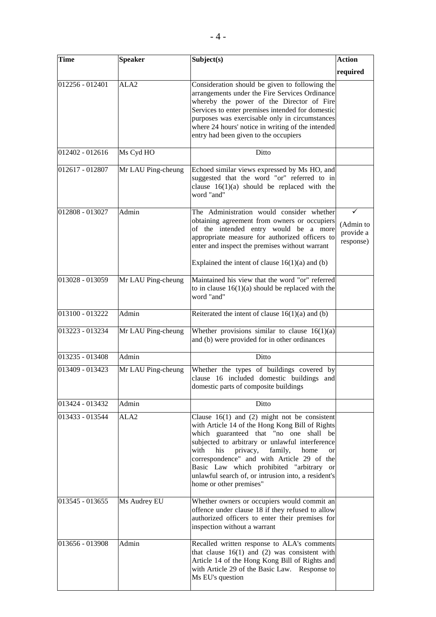| <b>Time</b>     | <b>Speaker</b>     | Subject(s)                                                                                                                                                                                                                                                                                                                                                                                                                                | <b>Action</b>                            |
|-----------------|--------------------|-------------------------------------------------------------------------------------------------------------------------------------------------------------------------------------------------------------------------------------------------------------------------------------------------------------------------------------------------------------------------------------------------------------------------------------------|------------------------------------------|
|                 |                    |                                                                                                                                                                                                                                                                                                                                                                                                                                           | required                                 |
| 012256 - 012401 | ALA <sub>2</sub>   | Consideration should be given to following the<br>arrangements under the Fire Services Ordinance<br>whereby the power of the Director of Fire<br>Services to enter premises intended for domestic<br>purposes was exercisable only in circumstances<br>where 24 hours' notice in writing of the intended<br>entry had been given to the occupiers                                                                                         |                                          |
| 012402 - 012616 | Ms Cyd HO          | Ditto                                                                                                                                                                                                                                                                                                                                                                                                                                     |                                          |
| 012617 - 012807 | Mr LAU Ping-cheung | Echoed similar views expressed by Ms HO, and<br>suggested that the word "or" referred to in<br>clause $16(1)(a)$ should be replaced with the<br>word "and"                                                                                                                                                                                                                                                                                |                                          |
| 012808 - 013027 | Admin              | The Administration would consider whether<br>obtaining agreement from owners or occupiers<br>of the intended entry would be a more<br>appropriate measure for authorized officers to<br>enter and inspect the premises without warrant<br>Explained the intent of clause $16(1)(a)$ and (b)                                                                                                                                               | ✓<br>(Admin to<br>provide a<br>response) |
| 013028 - 013059 | Mr LAU Ping-cheung | Maintained his view that the word "or" referred<br>to in clause $16(1)(a)$ should be replaced with the<br>word "and"                                                                                                                                                                                                                                                                                                                      |                                          |
| 013100 - 013222 | Admin              | Reiterated the intent of clause $16(1)(a)$ and (b)                                                                                                                                                                                                                                                                                                                                                                                        |                                          |
| 013223 - 013234 | Mr LAU Ping-cheung | Whether provisions similar to clause $16(1)(a)$<br>and (b) were provided for in other ordinances                                                                                                                                                                                                                                                                                                                                          |                                          |
| 013235 - 013408 | Admin              | Ditto                                                                                                                                                                                                                                                                                                                                                                                                                                     |                                          |
| 013409 - 013423 | Mr LAU Ping-cheung | Whether the types of buildings covered by<br>clause 16 included domestic buildings and<br>domestic parts of composite buildings                                                                                                                                                                                                                                                                                                           |                                          |
| 013424 - 013432 | Admin              | Ditto                                                                                                                                                                                                                                                                                                                                                                                                                                     |                                          |
| 013433 - 013544 | ALA2               | Clause $16(1)$ and (2) might not be consistent<br>with Article 14 of the Hong Kong Bill of Rights<br>which guaranteed that "no one shall be<br>subjected to arbitrary or unlawful interference<br>privacy,<br>with<br>his<br>family,<br>home<br><sub>or</sub><br>correspondence" and with Article 29 of the<br>Basic Law which prohibited "arbitrary or<br>unlawful search of, or intrusion into, a resident's<br>home or other premises" |                                          |
| 013545 - 013655 | Ms Audrey EU       | Whether owners or occupiers would commit an<br>offence under clause 18 if they refused to allow<br>authorized officers to enter their premises for<br>inspection without a warrant                                                                                                                                                                                                                                                        |                                          |
| 013656 - 013908 | Admin              | Recalled written response to ALA's comments<br>that clause $16(1)$ and (2) was consistent with<br>Article 14 of the Hong Kong Bill of Rights and<br>with Article 29 of the Basic Law. Response to<br>Ms EU's question                                                                                                                                                                                                                     |                                          |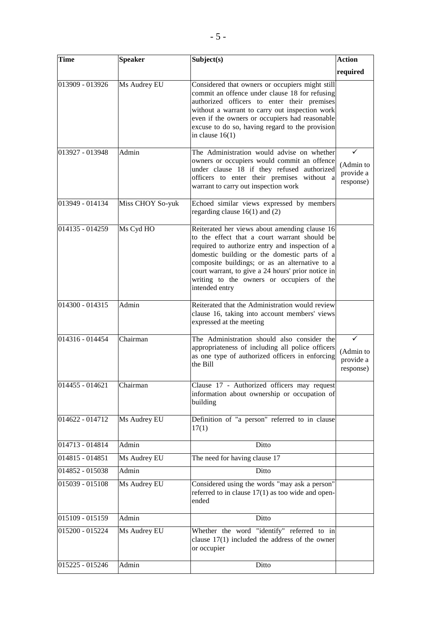| <b>Time</b>     | <b>Speaker</b>   | Subject(s)                                                                                                                                                                                                                                                                                                                                                              | <b>Action</b>                       |
|-----------------|------------------|-------------------------------------------------------------------------------------------------------------------------------------------------------------------------------------------------------------------------------------------------------------------------------------------------------------------------------------------------------------------------|-------------------------------------|
|                 |                  |                                                                                                                                                                                                                                                                                                                                                                         | required                            |
| 013909 - 013926 | Ms Audrey EU     | Considered that owners or occupiers might still<br>commit an offence under clause 18 for refusing<br>authorized officers to enter their premises<br>without a warrant to carry out inspection work<br>even if the owners or occupiers had reasonable<br>excuse to do so, having regard to the provision<br>in clause $16(1)$                                            |                                     |
| 013927 - 013948 | Admin            | The Administration would advise on whether<br>owners or occupiers would commit an offence<br>under clause 18 if they refused authorized<br>officers to enter their premises without a<br>warrant to carry out inspection work                                                                                                                                           | (Admin to<br>provide a<br>response) |
| 013949 - 014134 | Miss CHOY So-yuk | Echoed similar views expressed by members<br>regarding clause $16(1)$ and $(2)$                                                                                                                                                                                                                                                                                         |                                     |
| 014135 - 014259 | Ms Cyd HO        | Reiterated her views about amending clause 16<br>to the effect that a court warrant should be<br>required to authorize entry and inspection of a<br>domestic building or the domestic parts of a<br>composite buildings; or as an alternative to a<br>court warrant, to give a 24 hours' prior notice in<br>writing to the owners or occupiers of the<br>intended entry |                                     |
| 014300 - 014315 | Admin            | Reiterated that the Administration would review<br>clause 16, taking into account members' views<br>expressed at the meeting                                                                                                                                                                                                                                            |                                     |
| 014316 - 014454 | Chairman         | The Administration should also consider the<br>appropriateness of including all police officers<br>as one type of authorized officers in enforcing<br>the Bill                                                                                                                                                                                                          | (Admin to<br>provide a<br>response) |
| 014455 - 014621 | Chairman         | Clause 17 - Authorized officers may request<br>information about ownership or occupation of<br>building                                                                                                                                                                                                                                                                 |                                     |
| 014622 - 014712 | Ms Audrey EU     | Definition of "a person" referred to in clause<br>17(1)                                                                                                                                                                                                                                                                                                                 |                                     |
| 014713 - 014814 | Admin            | Ditto                                                                                                                                                                                                                                                                                                                                                                   |                                     |
| 014815 - 014851 | Ms Audrey EU     | The need for having clause 17                                                                                                                                                                                                                                                                                                                                           |                                     |
| 014852 - 015038 | Admin            | Ditto                                                                                                                                                                                                                                                                                                                                                                   |                                     |
| 015039 - 015108 | Ms Audrey EU     | Considered using the words "may ask a person"<br>referred to in clause $17(1)$ as too wide and open-<br>ended                                                                                                                                                                                                                                                           |                                     |
| 015109 - 015159 | Admin            | Ditto                                                                                                                                                                                                                                                                                                                                                                   |                                     |
| 015200 - 015224 | Ms Audrey EU     | Whether the word "identify" referred to in<br>clause $17(1)$ included the address of the owner<br>or occupier                                                                                                                                                                                                                                                           |                                     |
| 015225 - 015246 | Admin            | Ditto                                                                                                                                                                                                                                                                                                                                                                   |                                     |